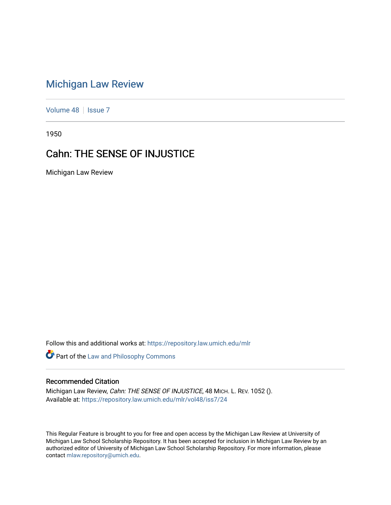## [Michigan Law Review](https://repository.law.umich.edu/mlr)

[Volume 48](https://repository.law.umich.edu/mlr/vol48) | [Issue 7](https://repository.law.umich.edu/mlr/vol48/iss7)

1950

## Cahn: THE SENSE OF INJUSTICE

Michigan Law Review

Follow this and additional works at: [https://repository.law.umich.edu/mlr](https://repository.law.umich.edu/mlr?utm_source=repository.law.umich.edu%2Fmlr%2Fvol48%2Fiss7%2F24&utm_medium=PDF&utm_campaign=PDFCoverPages) 

Part of the [Law and Philosophy Commons](http://network.bepress.com/hgg/discipline/1299?utm_source=repository.law.umich.edu%2Fmlr%2Fvol48%2Fiss7%2F24&utm_medium=PDF&utm_campaign=PDFCoverPages) 

## Recommended Citation

Michigan Law Review, Cahn: THE SENSE OF INJUSTICE, 48 MICH. L. REV. 1052 (). Available at: [https://repository.law.umich.edu/mlr/vol48/iss7/24](https://repository.law.umich.edu/mlr/vol48/iss7/24?utm_source=repository.law.umich.edu%2Fmlr%2Fvol48%2Fiss7%2F24&utm_medium=PDF&utm_campaign=PDFCoverPages) 

This Regular Feature is brought to you for free and open access by the Michigan Law Review at University of Michigan Law School Scholarship Repository. It has been accepted for inclusion in Michigan Law Review by an authorized editor of University of Michigan Law School Scholarship Repository. For more information, please contact [mlaw.repository@umich.edu](mailto:mlaw.repository@umich.edu).